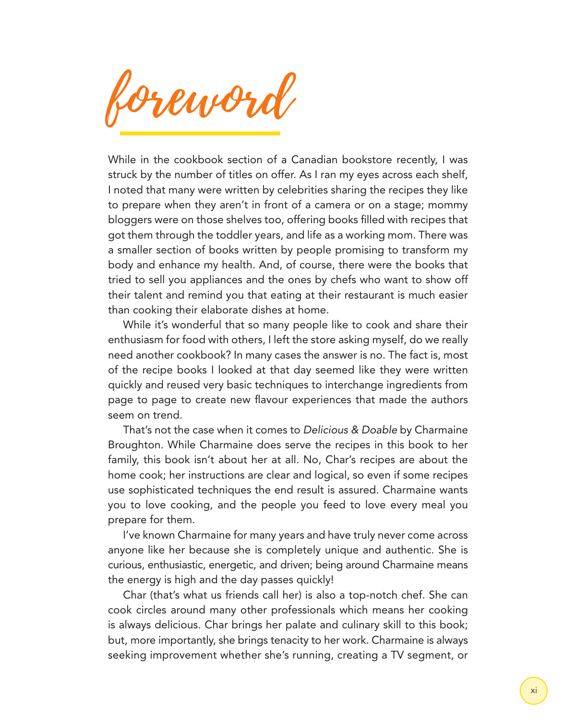envor

While in the cookbook section of a Canadian bookstore recently, I was struck by the number of titles on offer. As I ran my eyes across each shelf, I noted that many were written by celebrities sharing the recipes they like to prepare when they aren't in front of a camera or on a stage; mommy bloggers were on those shelves too, offering books filled with recipes that got them through the toddler years, and life as a working mom. There was a smaller section of books written by people promising to transform my body and enhance my health. And, of course, there were the books that tried to sell you appliances and the ones by chefs who want to show off their talent and remind you that eating at their restaurant is much easier than cooking their elaborate dishes at home.

While it's wonderful that so many people like to cook and share their enthusiasm for food with others, I left the store asking myself, do we really need another cookbook? In many cases the answer is no. The fact is, most of the recipe books I looked at that day seemed like they were written quickly and reused very basic techniques to interchange ingredients from page to page to create new flavour experiences that made the authors seem on trend.

That's not the case when it comes to *Delicious & Doable* by Charmaine Broughton. While Charmaine does serve the recipes in this book to her family, this book isn't about her at all. No, Char's recipes are about the home cook; her instructions are clear and logical, so even if some recipes use sophisticated techniques the end result is assured. Charmaine wants you to love cooking, and the people you feed to love every meal you prepare for them.

I've known Charmaine for many years and have truly never come across anyone like her because she is completely unique and authentic. She is curious, enthusiastic, energetic, and driven; being around Charmaine means the energy is high and the day passes quickly!

Char (that's what us friends call her) is also a top-notch chef. She can cook circles around many other professionals which means her cooking is always delicious. Char brings her palate and culinary skill to this book; but, more importantly, she brings tenacity to her work. Charmaine is always seeking improvement whether she's running, creating a TV segment, or